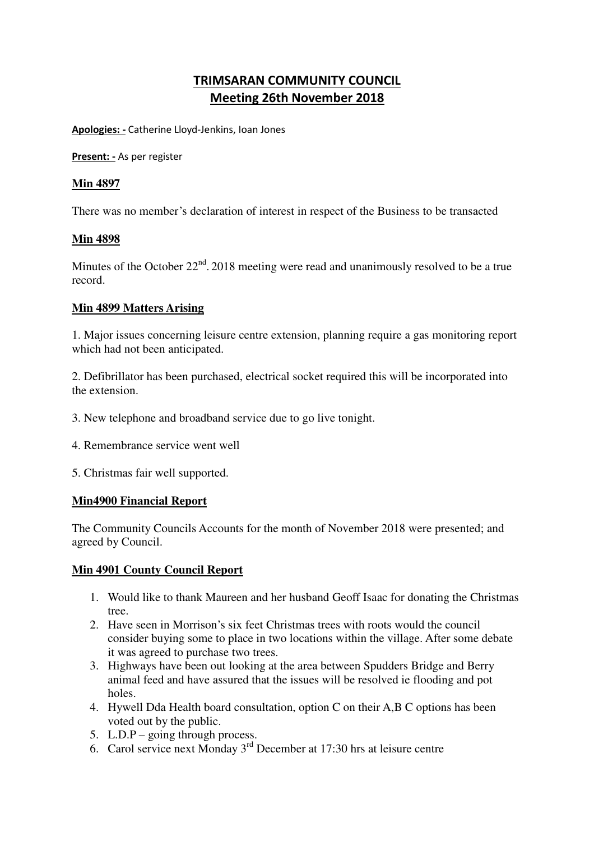# **TRIMSARAN COMMUNITY COUNCIL Meeting 26th November 2018**

**Apologies: -** Catherine Lloyd-Jenkins, Ioan Jones

**Present: -** As per register

## **Min 4897**

There was no member's declaration of interest in respect of the Business to be transacted

## **Min 4898**

Minutes of the October  $22<sup>nd</sup>$ . 2018 meeting were read and unanimously resolved to be a true record.

## **Min 4899 Matters Arising**

1. Major issues concerning leisure centre extension, planning require a gas monitoring report which had not been anticipated.

2. Defibrillator has been purchased, electrical socket required this will be incorporated into the extension.

- 3. New telephone and broadband service due to go live tonight.
- 4. Remembrance service went well
- 5. Christmas fair well supported.

## **Min4900 Financial Report**

The Community Councils Accounts for the month of November 2018 were presented; and agreed by Council.

## **Min 4901 County Council Report**

- 1. Would like to thank Maureen and her husband Geoff Isaac for donating the Christmas tree.
- 2. Have seen in Morrison's six feet Christmas trees with roots would the council consider buying some to place in two locations within the village. After some debate it was agreed to purchase two trees.
- 3. Highways have been out looking at the area between Spudders Bridge and Berry animal feed and have assured that the issues will be resolved ie flooding and pot holes.
- 4. Hywell Dda Health board consultation, option C on their A,B C options has been voted out by the public.
- 5. L.D.P going through process.
- 6. Carol service next Monday 3rd December at 17:30 hrs at leisure centre